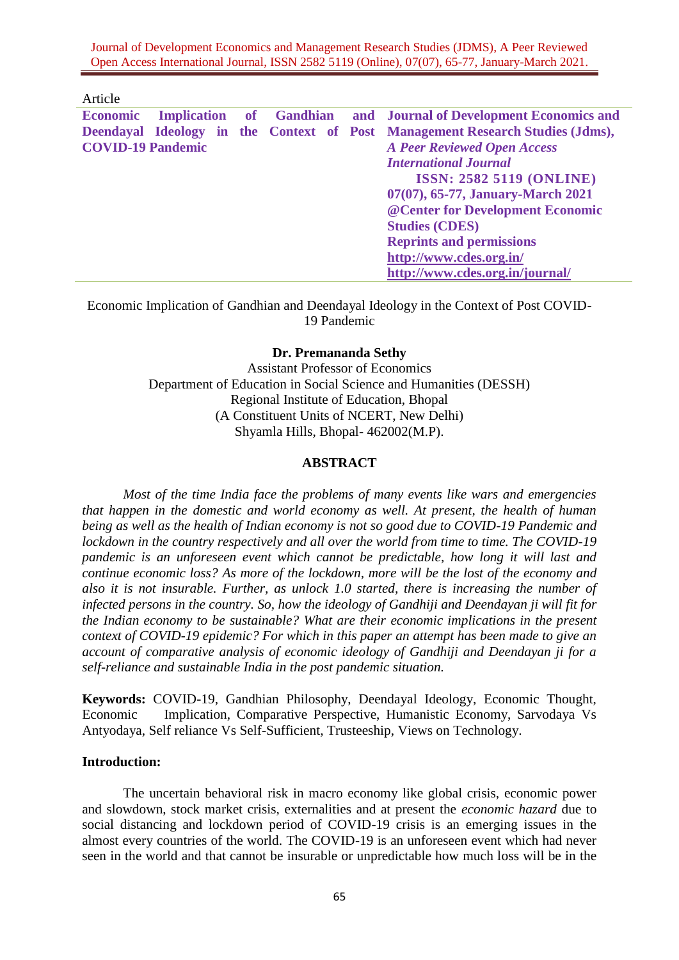Journal of Development Economics and Management Research Studies (JDMS), A Peer Reviewed Open Access International Journal, ISSN 2582 5119 (Online), 07(07), 65-77, January-March 2021.

Article

|                          |  |  |  |  | <b>Economic Implication of Gandhian and Journal of Development Economics and</b> |
|--------------------------|--|--|--|--|----------------------------------------------------------------------------------|
|                          |  |  |  |  | Deendayal Ideology in the Context of Post Management Research Studies (Jdms),    |
| <b>COVID-19 Pandemic</b> |  |  |  |  | <b>A Peer Reviewed Open Access</b>                                               |
|                          |  |  |  |  | <b>International Journal</b>                                                     |
|                          |  |  |  |  | <b>ISSN: 2582 5119 (ONLINE)</b>                                                  |
|                          |  |  |  |  | 07(07), 65-77, January-March 2021                                                |
|                          |  |  |  |  | @ Center for Development Economic                                                |
|                          |  |  |  |  | <b>Studies (CDES)</b>                                                            |
|                          |  |  |  |  | <b>Reprints and permissions</b>                                                  |
|                          |  |  |  |  | http://www.cdes.org.in/                                                          |
|                          |  |  |  |  | http://www.cdes.org.in/journal/                                                  |

Economic Implication of Gandhian and Deendayal Ideology in the Context of Post COVID-19 Pandemic

### **Dr. Premananda Sethy**

Assistant Professor of Economics Department of Education in Social Science and Humanities (DESSH) Regional Institute of Education, Bhopal (A Constituent Units of NCERT, New Delhi) Shyamla Hills, Bhopal- 462002(M.P).

## **ABSTRACT**

*Most of the time India face the problems of many events like wars and emergencies that happen in the domestic and world economy as well. At present, the health of human being as well as the health of Indian economy is not so good due to COVID-19 Pandemic and lockdown in the country respectively and all over the world from time to time. The COVID-19 pandemic is an unforeseen event which cannot be predictable, how long it will last and continue economic loss? As more of the lockdown, more will be the lost of the economy and also it is not insurable. Further, as unlock 1.0 started, there is increasing the number of infected persons in the country. So, how the ideology of Gandhiji and Deendayan ji will fit for the Indian economy to be sustainable? What are their economic implications in the present context of COVID-19 epidemic? For which in this paper an attempt has been made to give an account of comparative analysis of economic ideology of Gandhiji and Deendayan ji for a self-reliance and sustainable India in the post pandemic situation.* 

**Keywords:** COVID-19, Gandhian Philosophy, Deendayal Ideology, Economic Thought, Economic Implication, Comparative Perspective, Humanistic Economy, Sarvodaya Vs Antyodaya, Self reliance Vs Self-Sufficient, Trusteeship, Views on Technology.

#### **Introduction:**

The uncertain behavioral risk in macro economy like global crisis, economic power and slowdown, stock market crisis, externalities and at present the *economic hazard* due to social distancing and lockdown period of COVID-19 crisis is an emerging issues in the almost every countries of the world. The COVID-19 is an unforeseen event which had never seen in the world and that cannot be insurable or unpredictable how much loss will be in the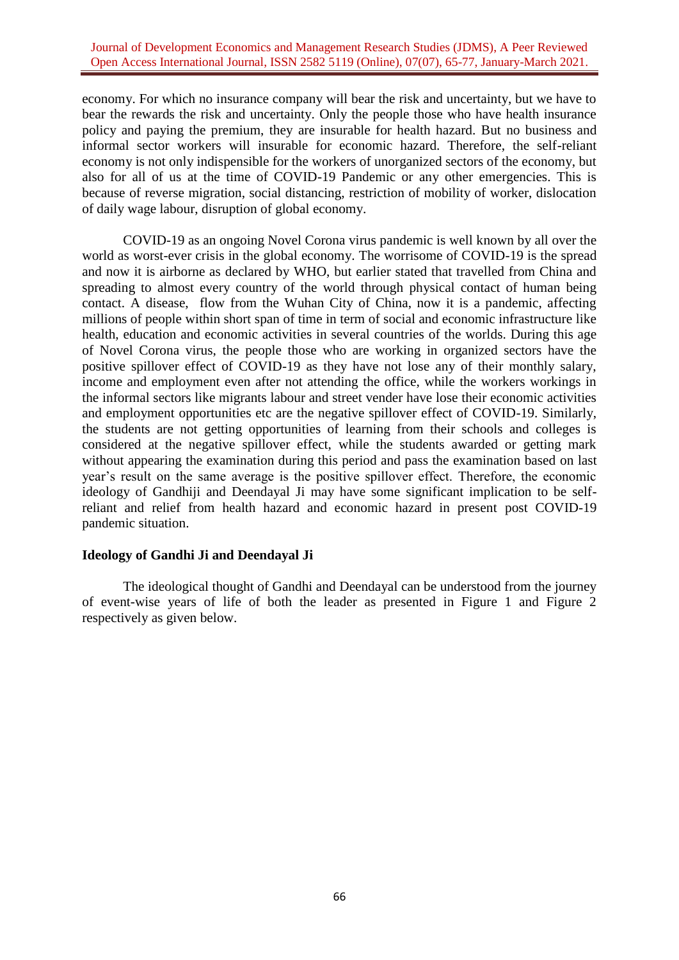economy. For which no insurance company will bear the risk and uncertainty, but we have to bear the rewards the risk and uncertainty. Only the people those who have health insurance policy and paying the premium, they are insurable for health hazard. But no business and informal sector workers will insurable for economic hazard. Therefore, the self-reliant economy is not only indispensible for the workers of unorganized sectors of the economy, but also for all of us at the time of COVID-19 Pandemic or any other emergencies. This is because of reverse migration, social distancing, restriction of mobility of worker, dislocation of daily wage labour, disruption of global economy.

COVID-19 as an ongoing Novel Corona virus pandemic is well known by all over the world as worst-ever crisis in the global economy. The worrisome of COVID-19 is the spread and now it is airborne as declared by WHO, but earlier stated that travelled from China and spreading to almost every country of the world through physical contact of human being contact. A disease, flow from the Wuhan City of China, now it is a pandemic, affecting millions of people within short span of time in term of social and economic infrastructure like health, education and economic activities in several countries of the worlds. During this age of Novel Corona virus, the people those who are working in organized sectors have the positive spillover effect of COVID-19 as they have not lose any of their monthly salary, income and employment even after not attending the office, while the workers workings in the informal sectors like migrants labour and street vender have lose their economic activities and employment opportunities etc are the negative spillover effect of COVID-19. Similarly, the students are not getting opportunities of learning from their schools and colleges is considered at the negative spillover effect, while the students awarded or getting mark without appearing the examination during this period and pass the examination based on last year's result on the same average is the positive spillover effect. Therefore, the economic ideology of Gandhiji and Deendayal Ji may have some significant implication to be selfreliant and relief from health hazard and economic hazard in present post COVID-19 pandemic situation.

## **Ideology of Gandhi Ji and Deendayal Ji**

The ideological thought of Gandhi and Deendayal can be understood from the journey of event-wise years of life of both the leader as presented in Figure 1 and Figure 2 respectively as given below.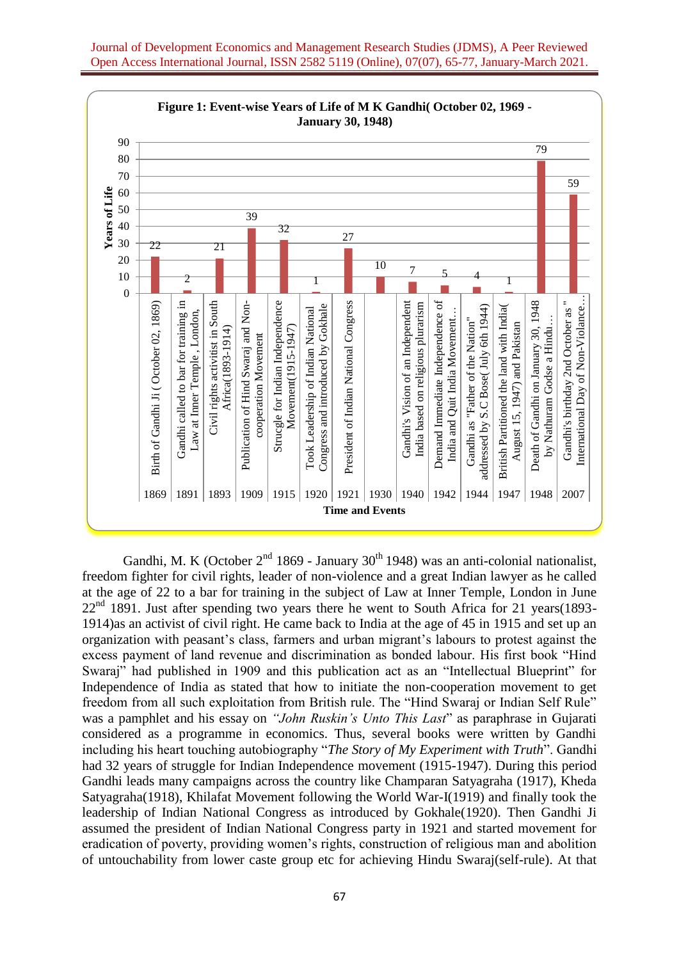

1869 1891 1893 1909 1915 1920 1921 1930 1940 1942 1944 1947 1948 2007

**Time and Events**

Journal of Development Economics and Management Research Studies (JDMS), A Peer Reviewed Open Access International Journal, ISSN 2582 5119 (Online), 07(07), 65-77, January-March 2021.

Gandhi, M. K (October  $2<sup>nd</sup> 1869$  - January 30<sup>th</sup> 1948) was an anti-colonial nationalist, freedom fighter for civil rights, leader of non-violence and a great Indian lawyer as he called at the age of 22 to a bar for training in the subject of Law at Inner Temple, London in June  $22<sup>nd</sup>$  1891. Just after spending two years there he went to South Africa for 21 years(1893-1914)as an activist of civil right. He came back to India at the age of 45 in 1915 and set up an organization with peasant's class, farmers and urban migrant's labours to protest against the excess payment of land revenue and discrimination as bonded labour. His first book "Hind Swaraj" had published in 1909 and this publication act as an "Intellectual Blueprint" for Independence of India as stated that how to initiate the non-cooperation movement to get freedom from all such exploitation from British rule. The "Hind Swaraj or Indian Self Rule" was a pamphlet and his essay on *"John Ruskin's Unto This Last*" as paraphrase in Gujarati considered as a programme in economics. Thus, several books were written by Gandhi including his heart touching autobiography "*The Story of My Experiment with Truth*". Gandhi had 32 years of struggle for Indian Independence movement (1915-1947). During this period Gandhi leads many campaigns across the country like Champaran Satyagraha (1917), Kheda Satyagraha(1918), Khilafat Movement following the World War-I(1919) and finally took the leadership of Indian National Congress as introduced by Gokhale(1920). Then Gandhi Ji assumed the president of Indian National Congress party in 1921 and started movement for eradication of poverty, providing women's rights, construction of religious man and abolition of untouchability from lower caste group etc for achieving Hindu Swaraj(self-rule). At that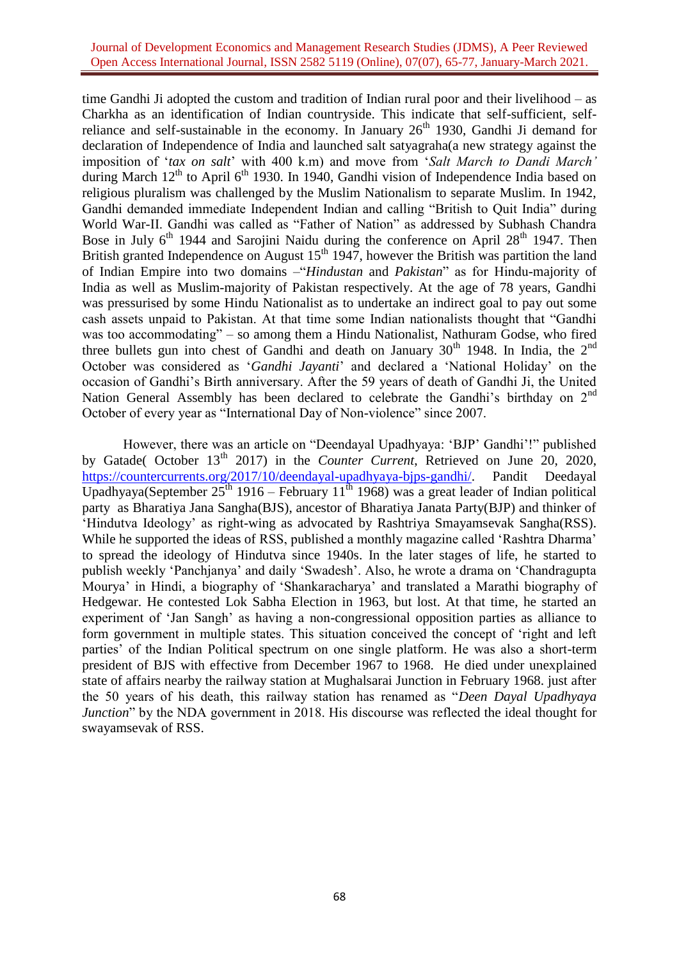### Journal of Development Economics and Management Research Studies (JDMS), A Peer Reviewed Open Access International Journal, ISSN 2582 5119 (Online), 07(07), 65-77, January-March 2021.

time Gandhi Ji adopted the custom and tradition of Indian rural poor and their livelihood – as Charkha as an identification of Indian countryside. This indicate that self-sufficient, selfreliance and self-sustainable in the economy. In January  $26<sup>th</sup>$  1930, Gandhi Ji demand for declaration of Independence of India and launched salt satyagraha(a new strategy against the imposition of '*tax on salt*' with 400 k.m) and move from '*Salt March to Dandi March'* during March  $12<sup>th</sup>$  to April 6<sup>th</sup> 1930. In 1940, Gandhi vision of Independence India based on religious pluralism was challenged by the Muslim Nationalism to separate Muslim. In 1942, Gandhi demanded immediate Independent Indian and calling "British to Quit India" during World War-II. Gandhi was called as "Father of Nation" as addressed by Subhash Chandra Bose in July  $6<sup>th</sup>$  1944 and Sarojini Naidu during the conference on April 28<sup>th</sup> 1947. Then British granted Independence on August  $15<sup>th</sup> 1947$ , however the British was partition the land of Indian Empire into two domains –"*Hindustan* and *Pakistan*" as for Hindu-majority of India as well as Muslim-majority of Pakistan respectively. At the age of 78 years, Gandhi was pressurised by some Hindu Nationalist as to undertake an indirect goal to pay out some cash assets unpaid to Pakistan. At that time some Indian nationalists thought that "Gandhi was too accommodating" – so among them a Hindu Nationalist, Nathuram Godse, who fired three bullets gun into chest of Gandhi and death on January  $30<sup>th</sup>$  1948. In India, the  $2<sup>nd</sup>$ October was considered as '*Gandhi Jayanti*' and declared a 'National Holiday' on the occasion of Gandhi's Birth anniversary. After the 59 years of death of Gandhi Ji, the United Nation General Assembly has been declared to celebrate the Gandhi's birthday on 2<sup>nd</sup> October of every year as "International Day of Non-violence" since 2007.

However, there was an article on "Deendayal Upadhyaya: 'BJP' Gandhi'!" published by Gatade( October 13<sup>th</sup> 2017) in the *Counter Current*, Retrieved on June 20, 2020, [https://countercurrents.org/2017/10/deendayal-upadhyaya-bjps-gandhi/.](https://countercurrents.org/2017/10/deendayal-upadhyaya-bjps-gandhi/) Pandit Deedayal Upadhyaya(September  $25<sup>th</sup> 1916$  – February  $11<sup>th</sup> 1968$ ) was a great leader of Indian political party as Bharatiya Jana Sangha(BJS), ancestor of Bharatiya Janata Party(BJP) and thinker of 'Hindutva Ideology' as right-wing as advocated by Rashtriya Smayamsevak Sangha(RSS). While he supported the ideas of RSS, published a monthly magazine called 'Rashtra Dharma' to spread the ideology of Hindutva since 1940s. In the later stages of life, he started to publish weekly 'Panchjanya' and daily 'Swadesh'. Also, he wrote a drama on 'Chandragupta Mourya' in Hindi, a biography of 'Shankaracharya' and translated a Marathi biography of Hedgewar. He contested Lok Sabha Election in 1963, but lost. At that time, he started an experiment of 'Jan Sangh' as having a non-congressional opposition parties as alliance to form government in multiple states. This situation conceived the concept of 'right and left parties' of the Indian Political spectrum on one single platform. He was also a short-term president of BJS with effective from December 1967 to 1968. He died under unexplained state of affairs nearby the railway station at Mughalsarai Junction in February 1968. just after the 50 years of his death, this railway station has renamed as "*Deen Dayal Upadhyaya Junction*" by the NDA government in 2018. His discourse was reflected the ideal thought for swayamsevak of RSS.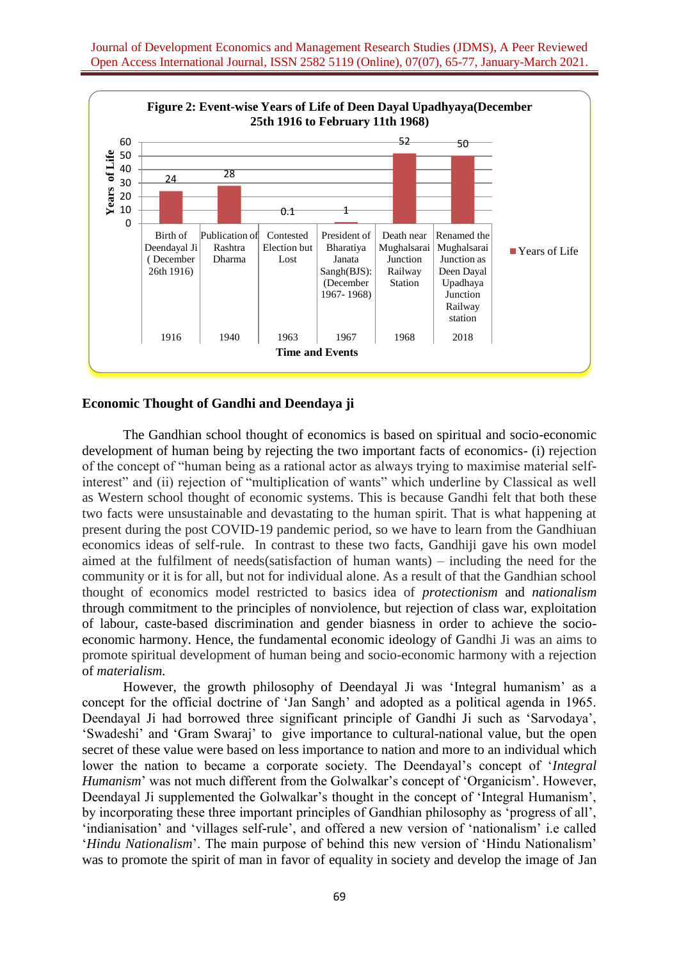

## **Economic Thought of Gandhi and Deendaya ji**

The Gandhian school thought of economics is based on spiritual and socio-economic development of human being by rejecting the two important facts of economics- (i) rejection of the concept of "human being as a rational actor as always trying to maximise material selfinterest" and (ii) rejection of "multiplication of wants" which underline by Classical as well as Western school thought of economic systems. This is because Gandhi felt that both these two facts were unsustainable and devastating to the human spirit. That is what happening at present during the post COVID-19 pandemic period, so we have to learn from the Gandhiuan economics ideas of self-rule. In contrast to these two facts, Gandhiji gave his own model aimed at the fulfilment of needs(satisfaction of human wants) – including the need for the community or it is for all, but not for individual alone. As a result of that the Gandhian school thought of economics model restricted to basics idea of *[protectionism](https://en.wikipedia.org/wiki/Protectionism)* and *[nationalism](https://en.wikipedia.org/wiki/Nationalism)* through commitment to the principles of nonviolence, but rejection of class war, exploitation of labour, caste-based discrimination and gender biasness in order to achieve the socioeconomic harmony. Hence, the fundamental economic ideology of Gandhi Ji was an aims to promote spiritual development of human being and socio-economic harmony with a rejection of *[materialism.](https://en.wikipedia.org/wiki/Materialism)*

However, the growth philosophy of Deendayal Ji was 'Integral humanism' as a concept for the official doctrine of 'Jan Sangh' and adopted as a political agenda in 1965. Deendayal Ji had borrowed three significant principle of Gandhi Ji such as 'Sarvodaya', 'Swadeshi' and 'Gram Swaraj' to give importance to cultural-national value, but the open secret of these value were based on less importance to nation and more to an individual which lower the nation to became a corporate society. The Deendayal's concept of '*Integral Humanism*' was not much different from the Golwalkar's concept of 'Organicism'. However, Deendayal Ji supplemented the Golwalkar's thought in the concept of 'Integral Humanism', by incorporating these three important principles of Gandhian philosophy as 'progress of all', 'indianisation' and 'villages self-rule', and offered a new version of 'nationalism' i.e called '*Hindu Nationalism*'. The main purpose of behind this new version of 'Hindu Nationalism' was to promote the spirit of man in favor of equality in society and develop the image of Jan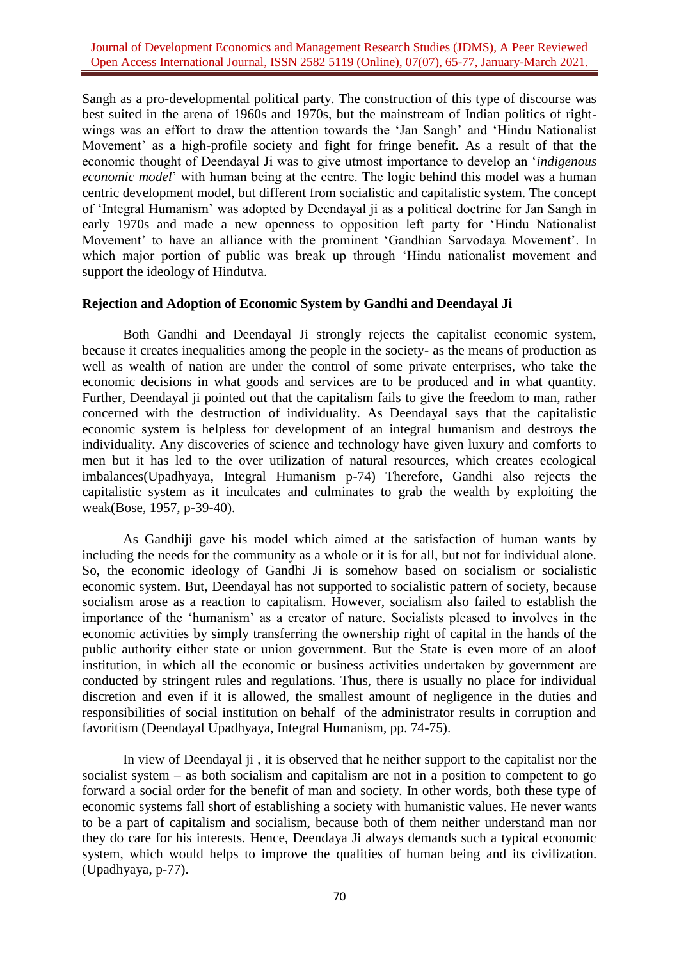Sangh as a pro-developmental political party. The construction of this type of discourse was best suited in the arena of 1960s and 1970s, but the mainstream of Indian politics of rightwings was an effort to draw the attention towards the 'Jan Sangh' and 'Hindu Nationalist Movement' as a high-profile society and fight for fringe benefit. As a result of that the economic thought of Deendayal Ji was to give utmost importance to develop an '*indigenous economic model*' with human being at the centre. The logic behind this model was a human centric development model, but different from socialistic and capitalistic system. The concept of 'Integral Humanism' was adopted by Deendayal ji as a political doctrine for Jan Sangh in early 1970s and made a new openness to opposition left party for 'Hindu Nationalist Movement' to have an alliance with the prominent 'Gandhian Sarvodaya Movement'. In which major portion of public was break up through 'Hindu nationalist movement and support the ideology of Hindutva.

## **Rejection and Adoption of Economic System by Gandhi and Deendayal Ji**

Both Gandhi and Deendayal Ji strongly rejects the capitalist economic system, because it creates inequalities among the people in the society- as the means of production as well as wealth of nation are under the control of some private enterprises, who take the economic decisions in what goods and services are to be produced and in what quantity. Further, Deendayal ji pointed out that the capitalism fails to give the freedom to man, rather concerned with the destruction of individuality. As Deendayal says that the capitalistic economic system is helpless for development of an integral humanism and destroys the individuality. Any discoveries of science and technology have given luxury and comforts to men but it has led to the over utilization of natural resources, which creates ecological imbalances(Upadhyaya, Integral Humanism p-74) Therefore, Gandhi also rejects the capitalistic system as it inculcates and culminates to grab the wealth by exploiting the weak(Bose, 1957, p-39-40).

As Gandhiji gave his model which aimed at the satisfaction of human wants by including the needs for the community as a whole or it is for all, but not for individual alone. So, the economic ideology of Gandhi Ji is somehow based on socialism or socialistic economic system. But, Deendayal has not supported to socialistic pattern of society, because socialism arose as a reaction to capitalism. However, socialism also failed to establish the importance of the 'humanism' as a creator of nature. Socialists pleased to involves in the economic activities by simply transferring the ownership right of capital in the hands of the public authority either state or union government. But the State is even more of an aloof institution, in which all the economic or business activities undertaken by government are conducted by stringent rules and regulations. Thus, there is usually no place for individual discretion and even if it is allowed, the smallest amount of negligence in the duties and responsibilities of social institution on behalf of the administrator results in corruption and favoritism (Deendayal Upadhyaya, Integral Humanism, pp. 74-75).

In view of Deendayal ji , it is observed that he neither support to the capitalist nor the socialist system – as both socialism and capitalism are not in a position to competent to go forward a social order for the benefit of man and society. In other words, both these type of economic systems fall short of establishing a society with humanistic values. He never wants to be a part of capitalism and socialism, because both of them neither understand man nor they do care for his interests. Hence, Deendaya Ji always demands such a typical economic system, which would helps to improve the qualities of human being and its civilization. (Upadhyaya, p-77).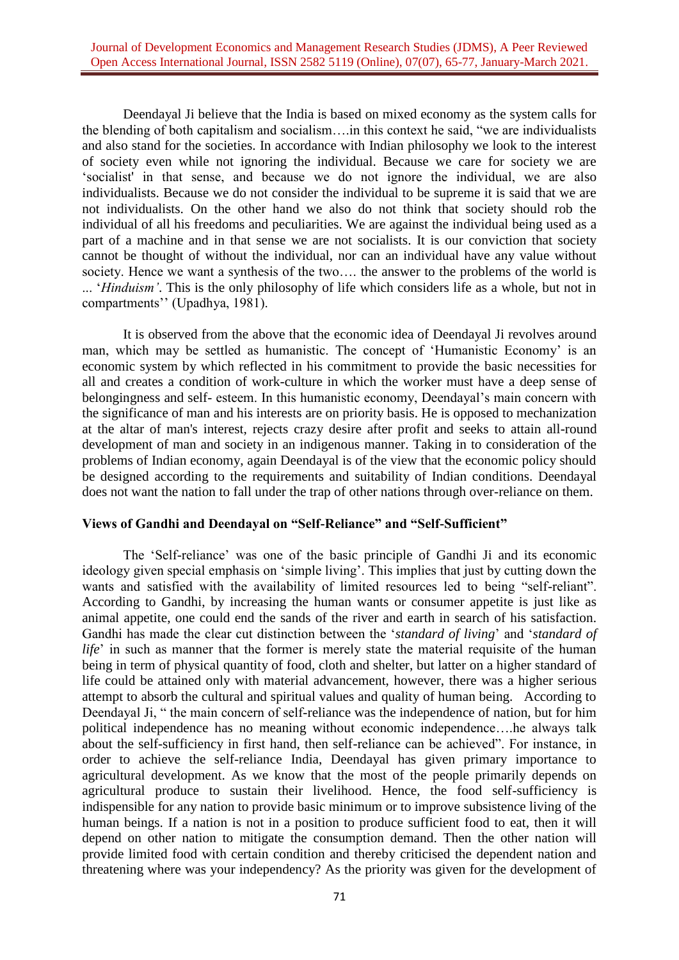Deendayal Ji believe that the India is based on mixed economy as the system calls for the blending of both capitalism and socialism….in this context he said, "we are individualists and also stand for the societies. In accordance with Indian philosophy we look to the interest of society even while not ignoring the individual. Because we care for society we are 'socialist' in that sense, and because we do not ignore the individual, we are also individualists. Because we do not consider the individual to be supreme it is said that we are not individualists. On the other hand we also do not think that society should rob the individual of all his freedoms and peculiarities. We are against the individual being used as a part of a machine and in that sense we are not socialists. It is our conviction that society cannot be thought of without the individual, nor can an individual have any value without society. Hence we want a synthesis of the two…. the answer to the problems of the world is ... '*Hinduism'*. This is the only philosophy of life which considers life as a whole, but not in compartments'' (Upadhya, 1981).

It is observed from the above that the economic idea of Deendayal Ji revolves around man, which may be settled as humanistic. The concept of 'Humanistic Economy' is an economic system by which reflected in his commitment to provide the basic necessities for all and creates a condition of work-culture in which the worker must have a deep sense of belongingness and self- esteem. In this humanistic economy, Deendayal's main concern with the significance of man and his interests are on priority basis. He is opposed to mechanization at the altar of man's interest, rejects crazy desire after profit and seeks to attain all-round development of man and society in an indigenous manner. Taking in to consideration of the problems of Indian economy, again Deendayal is of the view that the economic policy should be designed according to the requirements and suitability of Indian conditions. Deendayal does not want the nation to fall under the trap of other nations through over-reliance on them.

## **Views of Gandhi and Deendayal on "Self-Reliance" and "Self-Sufficient"**

The 'Self-reliance' was one of the basic principle of Gandhi Ji and its economic ideology given special emphasis on 'simple living'. This implies that just by cutting down the wants and satisfied with the availability of limited resources led to being "self-reliant". According to Gandhi, by increasing the human wants or consumer appetite is just like as animal appetite, one could end the sands of the river and earth in search of his satisfaction. Gandhi has made the clear cut distinction between the '*standard of living*' and '*standard of life*' in such as manner that the former is merely state the material requisite of the human being in term of physical quantity of food, cloth and shelter, but latter on a higher standard of life could be attained only with material advancement, however, there was a higher serious attempt to absorb the cultural and spiritual values and quality of human being. According to Deendayal Ji, " the main concern of self-reliance was the independence of nation, but for him political independence has no meaning without economic independence….he always talk about the self-sufficiency in first hand, then self-reliance can be achieved". For instance, in order to achieve the self-reliance India, Deendayal has given primary importance to agricultural development. As we know that the most of the people primarily depends on agricultural produce to sustain their livelihood. Hence, the food self-sufficiency is indispensible for any nation to provide basic minimum or to improve subsistence living of the human beings. If a nation is not in a position to produce sufficient food to eat, then it will depend on other nation to mitigate the consumption demand. Then the other nation will provide limited food with certain condition and thereby criticised the dependent nation and threatening where was your independency? As the priority was given for the development of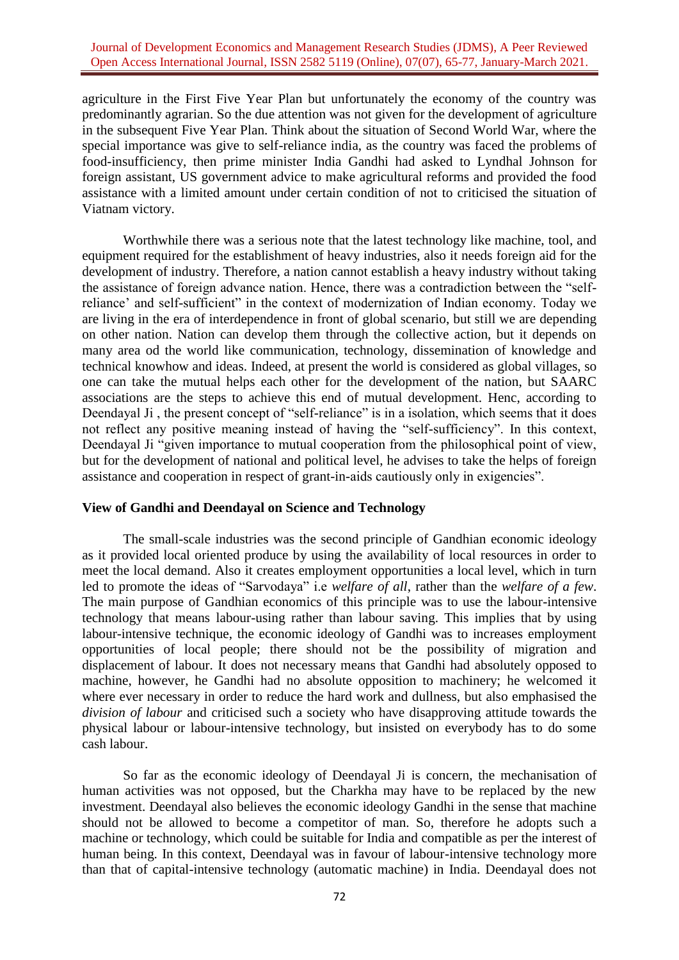agriculture in the First Five Year Plan but unfortunately the economy of the country was predominantly agrarian. So the due attention was not given for the development of agriculture in the subsequent Five Year Plan. Think about the situation of Second World War, where the special importance was give to self-reliance india, as the country was faced the problems of food-insufficiency, then prime minister India Gandhi had asked to Lyndhal Johnson for foreign assistant, US government advice to make agricultural reforms and provided the food assistance with a limited amount under certain condition of not to criticised the situation of Viatnam victory.

Worthwhile there was a serious note that the latest technology like machine, tool, and equipment required for the establishment of heavy industries, also it needs foreign aid for the development of industry. Therefore, a nation cannot establish a heavy industry without taking the assistance of foreign advance nation. Hence, there was a contradiction between the "selfreliance' and self-sufficient" in the context of modernization of Indian economy. Today we are living in the era of interdependence in front of global scenario, but still we are depending on other nation. Nation can develop them through the collective action, but it depends on many area od the world like communication, technology, dissemination of knowledge and technical knowhow and ideas. Indeed, at present the world is considered as global villages, so one can take the mutual helps each other for the development of the nation, but SAARC associations are the steps to achieve this end of mutual development. Henc, according to Deendayal Ji, the present concept of "self-reliance" is in a isolation, which seems that it does not reflect any positive meaning instead of having the "self-sufficiency". In this context, Deendayal Ji "given importance to mutual cooperation from the philosophical point of view, but for the development of national and political level, he advises to take the helps of foreign assistance and cooperation in respect of grant-in-aids cautiously only in exigencies".

#### **View of Gandhi and Deendayal on Science and Technology**

The small-scale industries was the second principle of Gandhian economic ideology as it provided local oriented produce by using the availability of local resources in order to meet the local demand. Also it creates employment opportunities a local level, which in turn led to promote the ideas of "Sarvodaya" i.e *welfare of all*, rather than the *welfare of a few*. The main purpose of Gandhian economics of this principle was to use the labour-intensive technology that means labour-using rather than labour saving. This implies that by using labour-intensive technique, the economic ideology of Gandhi was to increases employment opportunities of local people; there should not be the possibility of migration and displacement of labour. It does not necessary means that Gandhi had absolutely opposed to machine, however, he Gandhi had no absolute opposition to machinery; he welcomed it where ever necessary in order to reduce the hard work and dullness, but also emphasised the *division of labour* and criticised such a society who have disapproving attitude towards the physical labour or labour-intensive technology, but insisted on everybody has to do some cash labour.

So far as the economic ideology of Deendayal Ji is concern, the mechanisation of human activities was not opposed, but the Charkha may have to be replaced by the new investment. Deendayal also believes the economic ideology Gandhi in the sense that machine should not be allowed to become a competitor of man. So, therefore he adopts such a machine or technology, which could be suitable for India and compatible as per the interest of human being. In this context, Deendayal was in favour of labour-intensive technology more than that of capital-intensive technology (automatic machine) in India. Deendayal does not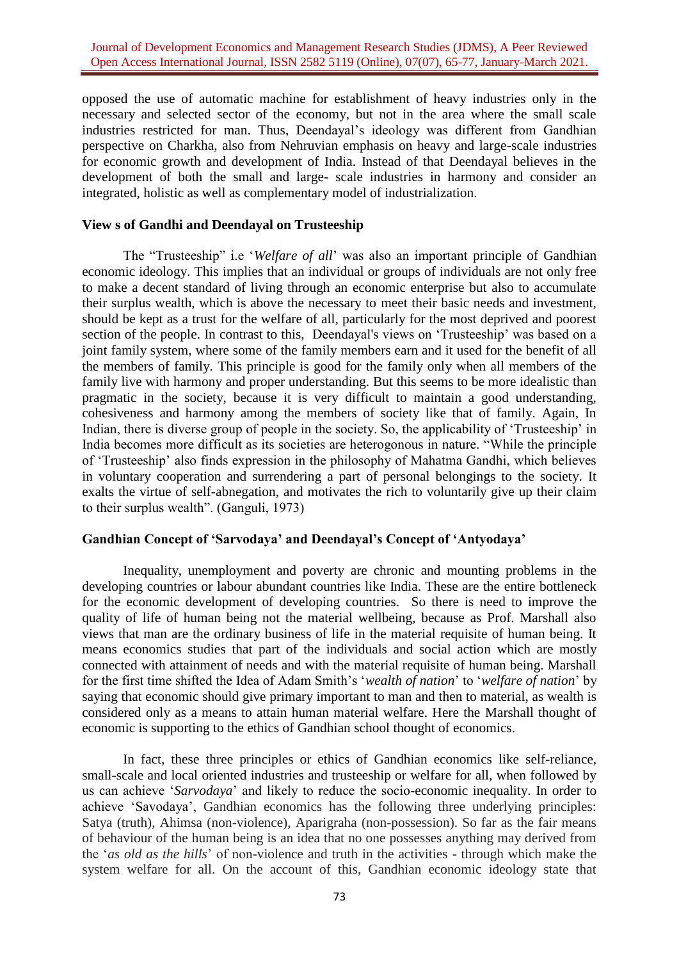opposed the use of automatic machine for establishment of heavy industries only in the necessary and selected sector of the economy, but not in the area where the small scale industries restricted for man. Thus, Deendayal's ideology was different from Gandhian perspective on Charkha, also from Nehruvian emphasis on heavy and large-scale industries for economic growth and development of India. Instead of that Deendayal believes in the development of both the small and large- scale industries in harmony and consider an integrated, holistic as well as complementary model of industrialization.

### **View s of Gandhi and Deendayal on Trusteeship**

The "Trusteeship" i.e '*Welfare of all*' was also an important principle of Gandhian economic ideology. This implies that an individual or groups of individuals are not only free to make a decent standard of living through an economic enterprise but also to accumulate their surplus wealth, which is above the necessary to meet their basic needs and investment, should be kept as a trust for the welfare of all, particularly for the most deprived and poorest section of the people. In contrast to this, Deendayal's views on 'Trusteeship' was based on a joint family system, where some of the family members earn and it used for the benefit of all the members of family. This principle is good for the family only when all members of the family live with harmony and proper understanding. But this seems to be more idealistic than pragmatic in the society, because it is very difficult to maintain a good understanding, cohesiveness and harmony among the members of society like that of family. Again, In Indian, there is diverse group of people in the society. So, the applicability of 'Trusteeship' in India becomes more difficult as its societies are heterogonous in nature. "While the principle of 'Trusteeship' also finds expression in the philosophy of Mahatma Gandhi, which believes in voluntary cooperation and surrendering a part of personal belongings to the society. It exalts the virtue of self-abnegation, and motivates the rich to voluntarily give up their claim to their surplus wealth". (Ganguli, 1973)

# **Gandhian Concept of 'Sarvodaya' and Deendayal's Concept of 'Antyodaya'**

Inequality, unemployment and poverty are chronic and mounting problems in the developing countries or labour abundant countries like India. These are the entire bottleneck for the economic development of developing countries. So there is need to improve the quality of life of human being not the material wellbeing, because as Prof. Marshall also views that man are the ordinary business of life in the material requisite of human being. It means economics studies that part of the individuals and social action which are mostly connected with attainment of needs and with the material requisite of human being. Marshall for the first time shifted the Idea of Adam Smith's '*wealth of nation*' to '*welfare of nation*' by saying that economic should give primary important to man and then to material, as wealth is considered only as a means to attain human material welfare. Here the Marshall thought of economic is supporting to the ethics of Gandhian school thought of economics.

In fact, these three principles or ethics of Gandhian economics like self-reliance, small-scale and local oriented industries and trusteeship or welfare for all, when followed by us can achieve '*Sarvodaya*' and likely to reduce the socio-economic inequality. In order to achieve 'Savodaya', Gandhian economics has the following three underlying principles: Satya (truth), Ahimsa (non-violence), Aparigraha (non-possession). So far as the fair means of behaviour of the human being is an idea that no one possesses anything may derived from the '*as old as the hills*' of non-violence and truth in the activities - through which make the system welfare for all. On the account of this, Gandhian economic ideology state that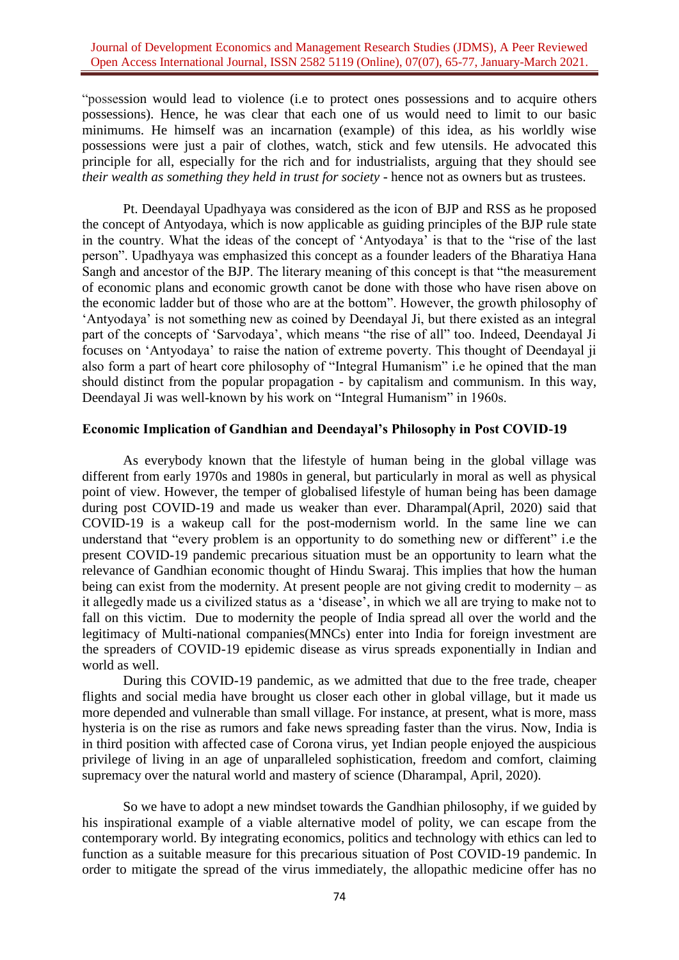"possession would lead to violence (i.e to protect ones possessions and to acquire others possessions). Hence, he was clear that each one of us would need to limit to our basic minimums. He himself was an incarnation (example) of this idea, as his worldly wise possessions were just a pair of clothes, watch, stick and few utensils. He advocated this principle for all, especially for the rich and for industrialists, arguing that they should see *their wealth as something they held in trust for society - hence not as owners but as trustees.* 

Pt. Deendayal Upadhyaya was considered as the icon of BJP and RSS as he proposed the concept of Antyodaya, which is now applicable as guiding principles of the BJP rule state in the country. What the ideas of the concept of 'Antyodaya' is that to the "rise of the last person". Upadhyaya was emphasized this concept as a founder leaders of the Bharatiya Hana Sangh and ancestor of the BJP. The literary meaning of this concept is that "the measurement of economic plans and economic growth canot be done with those who have risen above on the economic ladder but of those who are at the bottom". However, the growth philosophy of 'Antyodaya' is not something new as coined by Deendayal Ji, but there existed as an integral part of the concepts of 'Sarvodaya', which means "the rise of all" too. Indeed, Deendayal Ji focuses on 'Antyodaya' to raise the nation of extreme poverty. This thought of Deendayal ji also form a part of heart core philosophy of "Integral Humanism" i.e he opined that the man should distinct from the popular propagation - by capitalism and communism. In this way, Deendayal Ji was well-known by his work on "Integral Humanism" in 1960s.

## **Economic Implication of Gandhian and Deendayal's Philosophy in Post COVID-19**

As everybody known that the lifestyle of human being in the global village was different from early 1970s and 1980s in general, but particularly in moral as well as physical point of view. However, the temper of globalised lifestyle of human being has been damage during post COVID-19 and made us weaker than ever. Dharampal(April, 2020) said that COVID-19 is a wakeup call for the post-modernism world. In the same line we can understand that "every problem is an opportunity to do something new or different" i.e the present COVID-19 pandemic precarious situation must be an opportunity to learn what the relevance of Gandhian economic thought of Hindu Swaraj. This implies that how the human being can exist from the modernity. At present people are not giving credit to modernity – as it allegedly made us a civilized status as a 'disease', in which we all are trying to make not to fall on this victim. Due to modernity the people of India spread all over the world and the legitimacy of Multi-national companies(MNCs) enter into India for foreign investment are the spreaders of COVID-19 epidemic disease as virus spreads exponentially in Indian and world as well.

During this COVID-19 pandemic, as we admitted that due to the free trade, cheaper flights and social media have brought us closer each other in global village, but it made us more depended and vulnerable than small village. For instance, at present, what is more, mass hysteria is on the rise as rumors and fake news spreading faster than the virus. Now, India is in third position with affected case of Corona virus, yet Indian people enjoyed the auspicious privilege of living in an age of unparalleled sophistication, freedom and comfort, claiming supremacy over the natural world and mastery of science (Dharampal, April, 2020).

So we have to adopt a new mindset towards the Gandhian philosophy, if we guided by his inspirational example of a viable alternative model of polity, we can escape from the contemporary world. By integrating economics, politics and technology with ethics can led to function as a suitable measure for this precarious situation of Post COVID-19 pandemic. In order to mitigate the spread of the virus immediately, the allopathic medicine offer has no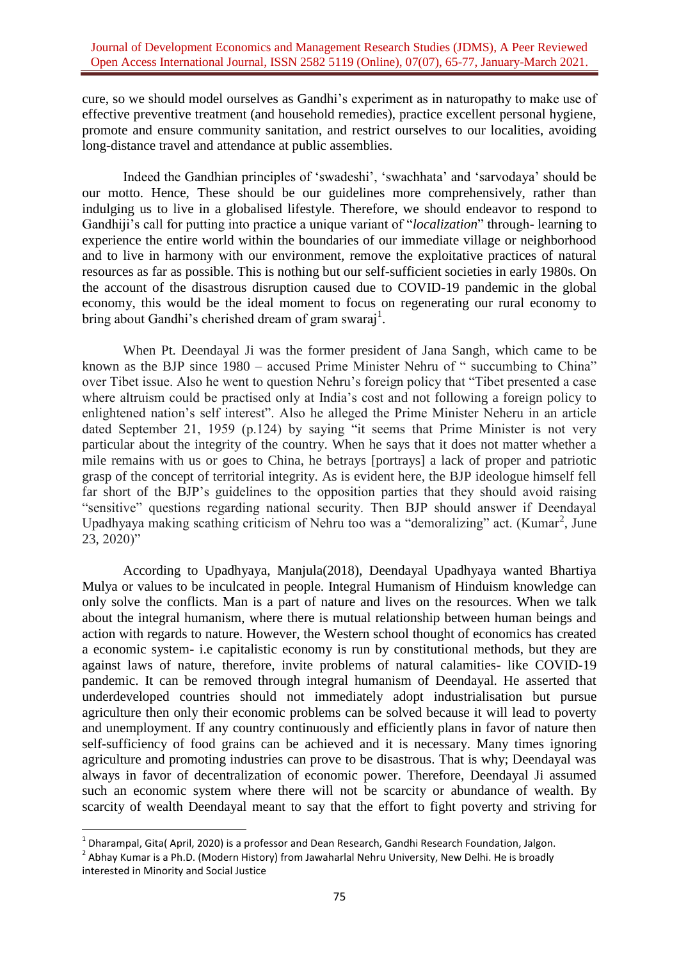cure, so we should model ourselves as Gandhi's experiment as in naturopathy to make use of effective preventive treatment (and household remedies), practice excellent personal hygiene, promote and ensure community sanitation, and restrict ourselves to our localities, avoiding long-distance travel and attendance at public assemblies.

Indeed the Gandhian principles of 'swadeshi', 'swachhata' and 'sarvodaya' should be our motto. Hence, These should be our guidelines more comprehensively, rather than indulging us to live in a globalised lifestyle. Therefore, we should endeavor to respond to Gandhiji's call for putting into practice a unique variant of "*localization*" through- learning to experience the entire world within the boundaries of our immediate village or neighborhood and to live in harmony with our environment, remove the exploitative practices of natural resources as far as possible. This is nothing but our self-sufficient societies in early 1980s. On the account of the disastrous disruption caused due to COVID-19 pandemic in the global economy, this would be the ideal moment to focus on regenerating our rural economy to bring about Gandhi's cherished dream of gram swaraj<sup>1</sup>.

When Pt. Deendayal Ji was the former president of Jana Sangh, which came to be known as the BJP since 1980 – accused Prime Minister Nehru of " succumbing to China" over Tibet issue. Also he went to question Nehru's foreign policy that "Tibet presented a case where altruism could be practised only at India's cost and not following a foreign policy to enlightened nation's self interest". Also he alleged the Prime Minister Neheru in an article dated September 21, 1959 (p.124) by saying "it seems that Prime Minister is not very particular about the integrity of the country. When he says that it does not matter whether a mile remains with us or goes to China, he betrays [portrays] a lack of proper and patriotic grasp of the concept of territorial integrity. As is evident here, the BJP ideologue himself fell far short of the BJP's guidelines to the opposition parties that they should avoid raising "sensitive" questions regarding national security. Then BJP should answer if Deendayal Upadhyaya making scathing criticism of Nehru too was a "demoralizing" act. (Kumar<sup>2</sup>, June 23, 2020)"

According to Upadhyaya, Manjula(2018), Deendayal Upadhyaya wanted Bhartiya Mulya or values to be inculcated in people. Integral Humanism of Hinduism knowledge can only solve the conflicts. Man is a part of nature and lives on the resources. When we talk about the integral humanism, where there is mutual relationship between human beings and action with regards to nature. However, the Western school thought of economics has created a economic system- i.e capitalistic economy is run by constitutional methods, but they are against laws of nature, therefore, invite problems of natural calamities- like COVID-19 pandemic. It can be removed through integral humanism of Deendayal. He asserted that underdeveloped countries should not immediately adopt industrialisation but pursue agriculture then only their economic problems can be solved because it will lead to poverty and unemployment. If any country continuously and efficiently plans in favor of nature then self-sufficiency of food grains can be achieved and it is necessary. Many times ignoring agriculture and promoting industries can prove to be disastrous. That is why; Deendayal was always in favor of decentralization of economic power. Therefore, Deendayal Ji assumed such an economic system where there will not be scarcity or abundance of wealth. By scarcity of wealth Deendayal meant to say that the effort to fight poverty and striving for

**.** 

 $^{1}$  Dharampal, Gita( April, 2020) is a professor and Dean Research, Gandhi Research Foundation, Jalgon.

 $^2$  Abhay Kumar is a Ph.D. (Modern History) from Jawaharlal Nehru University, New Delhi. He is broadly interested in Minority and Social Justice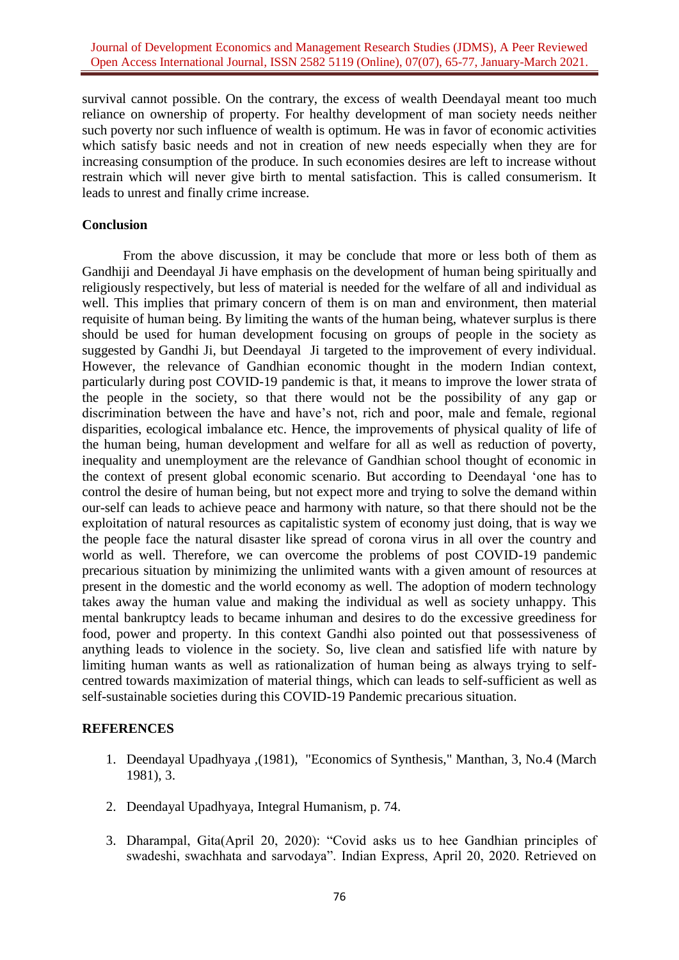survival cannot possible. On the contrary, the excess of wealth Deendayal meant too much reliance on ownership of property. For healthy development of man society needs neither such poverty nor such influence of wealth is optimum. He was in favor of economic activities which satisfy basic needs and not in creation of new needs especially when they are for increasing consumption of the produce. In such economies desires are left to increase without restrain which will never give birth to mental satisfaction. This is called consumerism. It leads to unrest and finally crime increase.

## **Conclusion**

From the above discussion, it may be conclude that more or less both of them as Gandhiji and Deendayal Ji have emphasis on the development of human being spiritually and religiously respectively, but less of material is needed for the welfare of all and individual as well. This implies that primary concern of them is on man and environment, then material requisite of human being. By limiting the wants of the human being, whatever surplus is there should be used for human development focusing on groups of people in the society as suggested by Gandhi Ji, but Deendayal Ji targeted to the improvement of every individual. However, the relevance of Gandhian economic thought in the modern Indian context, particularly during post COVID-19 pandemic is that, it means to improve the lower strata of the people in the society, so that there would not be the possibility of any gap or discrimination between the have and have's not, rich and poor, male and female, regional disparities, ecological imbalance etc. Hence, the improvements of physical quality of life of the human being, human development and welfare for all as well as reduction of poverty, inequality and unemployment are the relevance of Gandhian school thought of economic in the context of present global economic scenario. But according to Deendayal 'one has to control the desire of human being, but not expect more and trying to solve the demand within our-self can leads to achieve peace and harmony with nature, so that there should not be the exploitation of natural resources as capitalistic system of economy just doing, that is way we the people face the natural disaster like spread of corona virus in all over the country and world as well. Therefore, we can overcome the problems of post COVID-19 pandemic precarious situation by minimizing the unlimited wants with a given amount of resources at present in the domestic and the world economy as well. The adoption of modern technology takes away the human value and making the individual as well as society unhappy. This mental bankruptcy leads to became inhuman and desires to do the excessive greediness for food, power and property. In this context Gandhi also pointed out that possessiveness of anything leads to violence in the society. So, live clean and satisfied life with nature by limiting human wants as well as rationalization of human being as always trying to selfcentred towards maximization of material things, which can leads to self-sufficient as well as self-sustainable societies during this COVID-19 Pandemic precarious situation.

#### **REFERENCES**

- 1. Deendayal Upadhyaya ,(1981), "Economics of Synthesis," Manthan, 3, No.4 (March 1981), 3.
- 2. Deendayal Upadhyaya, Integral Humanism, p. 74.
- 3. Dharampal, Gita(April 20, 2020): "Covid asks us to hee Gandhian principles of swadeshi, swachhata and sarvodaya". Indian Express, April 20, 2020. Retrieved on